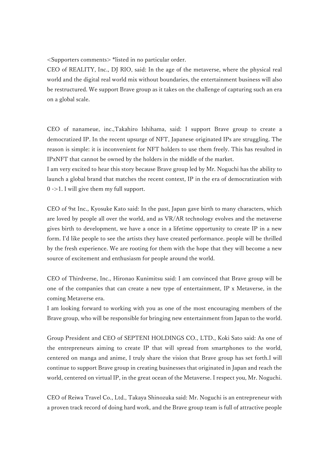<Supporters comments> \*listed in no particular order.

CEO of REALITY, Inc., DJ RIO, said: In the age of the metaverse, where the physical real world and the digital real world mix without boundaries, the entertainment business will also be restructured. We support Brave group as it takes on the challenge of capturing such an era on a global scale.

CEO of nanameue, inc.,Takahiro Ishihama, said: I support Brave group to create a democratized IP. In the recent upsurge of NFT, Japanese originated IPs are struggling. The reason is simple: it is inconvenient for NFT holders to use them freely. This has resulted in IPxNFT that cannot be owned by the holders in the middle of the market.

I am very excited to hear this story because Brave group led by Mr. Noguchi has the ability to launch a global brand that matches the recent context, IP in the era of democratization with 0 ->1. I will give them my full support.

CEO of 9st Inc., Kyosuke Kato said: In the past, Japan gave birth to many characters, which are loved by people all over the world, and as VR/AR technology evolves and the metaverse gives birth to development, we have a once in a lifetime opportunity to create IP in a new form. I'd like people to see the artists they have created performance. people will be thrilled by the fresh experience. We are rooting for them with the hope that they will become a new source of excitement and enthusiasm for people around the world.

CEO of Thirdverse, Inc., Hironao Kunimitsu said: I am convinced that Brave group will be one of the companies that can create a new type of entertainment, IP x Metaverse, in the coming Metaverse era.

I am looking forward to working with you as one of the most encouraging members of the Brave group, who will be responsible for bringing new entertainment from Japan to the world.

Group President and CEO of SEPTENI HOLDINGS CO., LTD., Koki Sato said: As one of the entrepreneurs aiming to create IP that will spread from smartphones to the world, centered on manga and anime, I truly share the vision that Brave group has set forth.I will continue to support Brave group in creating businesses that originated in Japan and reach the world, centered on virtual IP, in the great ocean of the Metaverse. I respect you, Mr. Noguchi.

CEO of Reiwa Travel Co., Ltd., Takaya Shinozuka said: Mr. Noguchi is an entrepreneur with a proven track record of doing hard work, and the Brave group team is full of attractive people